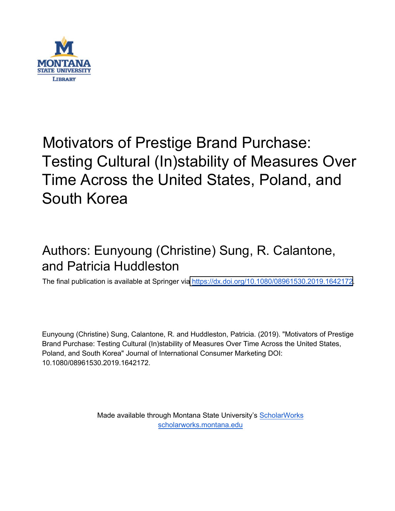

## Authors: Eunyoung (Christine) Sung, R. Calantone, and Patricia Huddleston

The final publication is available at Springer via<https://dx.doi.org/10.1080/08961530.2019.1642172>.

Eunyoung (Christine) Sung, Calantone, R. and Huddleston, Patricia. (2019). "Motivators of Prestige Brand Purchase: Testing Cultural (In)stability of Measures Over Time Across the United States, Poland, and South Korea" Journal of International Consumer Marketing DOI: 10.1080/08961530.2019.1642172.

> Made available through Montana State University's [ScholarWorks](http://scholarworks.montana.edu/) [scholarworks.montana.edu](http://scholarworks.montana.edu/)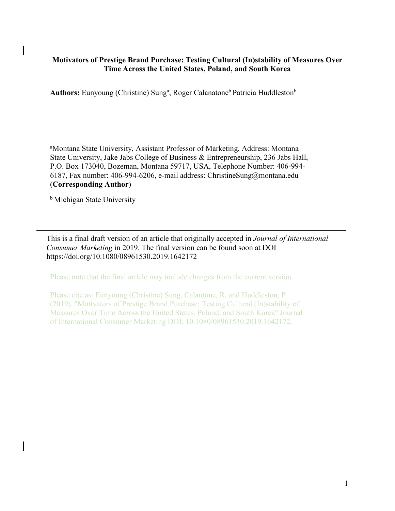Authors: Eunyoung (Christine) Sung<sup>a</sup>, Roger Calanatone<sup>b</sup> Patricia Huddleston<sup>b</sup>

<sup>a</sup>Montana State University, Assistant Professor of Marketing, Address: Montana State University, Jake Jabs College of Business & Entrepreneurship, 236 Jabs Hall, P.O. Box 173040, Bozeman, Montana 59717, USA, Telephone Number: 406-994- 6187, Fax number: 406-994-6206, e-mail address: [ChristineSung@montana.edu](mailto:ChristineSung@montana.edu)  (**Corresponding Author**)

**b** Michigan State University

This is a final draft version of an article that originally accepted in *Journal of International Consumer Marketing* in 2019. The final version can be found soon at DOI <https://doi.org/10.1080/08961530.2019.1642172>

Please note that the final article may include changes from the current version.

Please cite as: Eunyoung (Christine) Sung, Calantone, R. and Huddleston, P. (2019). "Motivators of Prestige Brand Purchase: Testing Cultural (In)stability of Measures Over Time Across the United States, Poland, and South Korea" Journal of International Consumer Marketing DOI: 10.1080/08961530.2019.1642172.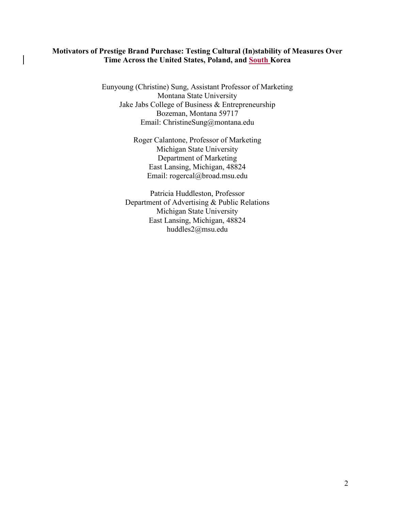Eunyoung (Christine) Sung, Assistant Professor of Marketing Montana State University Jake Jabs College of Business & Entrepreneurship Bozeman, Montana 59717 Email: ChristineSung@montana.edu

> Roger Calantone, Professor of Marketing Michigan State University Department of Marketing East Lansing, Michigan, 48824 Email: rogercal@broad.msu.edu

Patricia Huddleston, Professor Department of Advertising & Public Relations Michigan State University East Lansing, Michigan, 48824 huddles2@msu.edu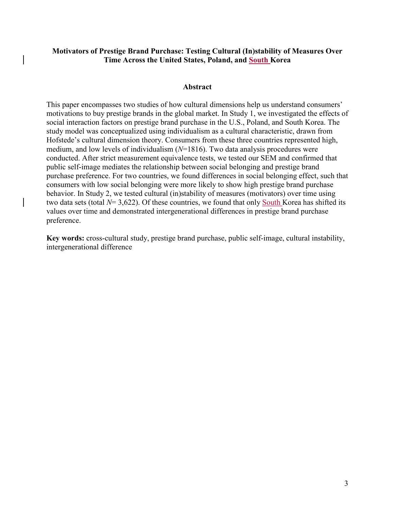#### **Abstract**

This paper encompasses two studies of how cultural dimensions help us understand consumers' motivations to buy prestige brands in the global market. In Study 1, we investigated the effects of social interaction factors on prestige brand purchase in the U.S., Poland, and South Korea. The study model was conceptualized using individualism as a cultural characteristic, drawn from Hofstede's cultural dimension theory. Consumers from these three countries represented high, medium, and low levels of individualism (*N*=1816). Two data analysis procedures were conducted. After strict measurement equivalence tests, we tested our SEM and confirmed that public self-image mediates the relationship between social belonging and prestige brand purchase preference. For two countries, we found differences in social belonging effect, such that consumers with low social belonging were more likely to show high prestige brand purchase behavior. In Study 2, we tested cultural (in)stability of measures (motivators) over time using two data sets (total *N*= 3,622). Of these countries, we found that only South Korea has shifted its values over time and demonstrated intergenerational differences in prestige brand purchase preference.

**Key words:** cross-cultural study, prestige brand purchase, public self-image, cultural instability, intergenerational difference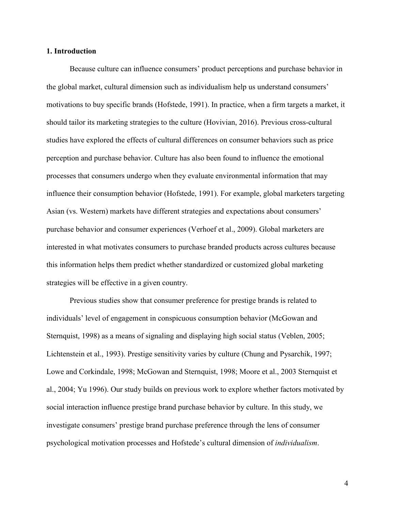#### **1. Introduction**

Because culture can influence consumers' product perceptions and purchase behavior in the global market, cultural dimension such as individualism help us understand consumers' motivations to buy specific brands (Hofstede, 1991). In practice, when a firm targets a market, it should tailor its marketing strategies to the culture (Hovivian, 2016). Previous cross-cultural studies have explored the effects of cultural differences on consumer behaviors such as price perception and purchase behavior. Culture has also been found to influence the emotional processes that consumers undergo when they evaluate environmental information that may influence their consumption behavior (Hofstede, 1991). For example, global marketers targeting Asian (vs. Western) markets have different strategies and expectations about consumers' purchase behavior and consumer experiences (Verhoef et al., 2009). Global marketers are interested in what motivates consumers to purchase branded products across cultures because this information helps them predict whether standardized or customized global marketing strategies will be effective in a given country.

Previous studies show that consumer preference for prestige brands is related to individuals' level of engagement in conspicuous consumption behavior (McGowan and Sternquist, 1998) as a means of signaling and displaying high social status (Veblen, 2005; Lichtenstein et al., 1993). Prestige sensitivity varies by culture (Chung and Pysarchik, 1997; Lowe and Corkindale, 1998; McGowan and Sternquist, 1998; Moore et al., 2003 Sternquist et al., 2004; Yu 1996). Our study builds on previous work to explore whether factors motivated by social interaction influence prestige brand purchase behavior by culture. In this study, we investigate consumers' prestige brand purchase preference through the lens of consumer psychological motivation processes and Hofstede's cultural dimension of *individualism*.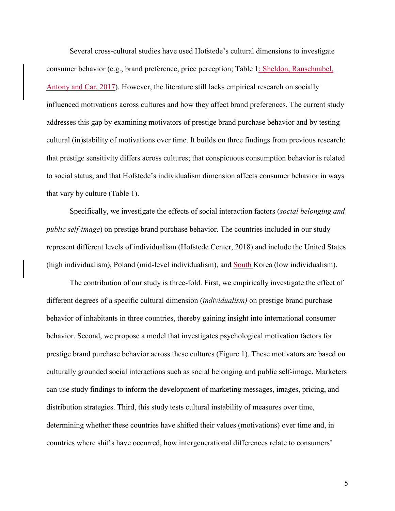Several cross-cultural studies have used Hofstede's cultural dimensions to investigate consumer behavior (e.g., brand preference, price perception; Table 1; Sheldon, Rauschnabel, Antony and Car, 2017). However, the literature still lacks empirical research on socially influenced motivations across cultures and how they affect brand preferences. The current study addresses this gap by examining motivators of prestige brand purchase behavior and by testing cultural (in)stability of motivations over time. It builds on three findings from previous research: that prestige sensitivity differs across cultures; that conspicuous consumption behavior is related to social status; and that Hofstede's individualism dimension affects consumer behavior in ways that vary by culture (Table 1).

Specifically, we investigate the effects of social interaction factors (*social belonging and public self-image*) on prestige brand purchase behavior. The countries included in our study represent different levels of individualism (Hofstede Center, 2018) and include the United States (high individualism), Poland (mid-level individualism), and South Korea (low individualism).

The contribution of our study is three-fold. First, we empirically investigate the effect of different degrees of a specific cultural dimension (*individualism)* on prestige brand purchase behavior of inhabitants in three countries, thereby gaining insight into international consumer behavior. Second, we propose a model that investigates psychological motivation factors for prestige brand purchase behavior across these cultures (Figure 1). These motivators are based on culturally grounded social interactions such as social belonging and public self-image. Marketers can use study findings to inform the development of marketing messages, images, pricing, and distribution strategies. Third, this study tests cultural instability of measures over time, determining whether these countries have shifted their values (motivations) over time and, in countries where shifts have occurred, how intergenerational differences relate to consumers'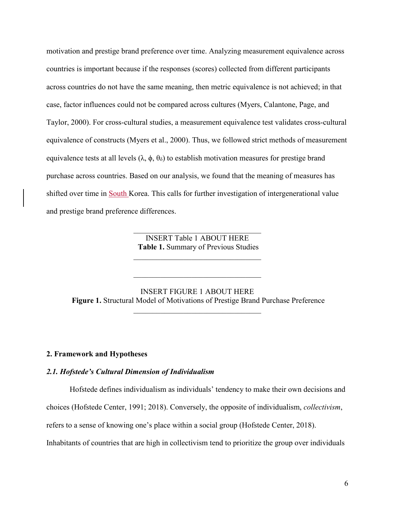motivation and prestige brand preference over time. Analyzing measurement equivalence across countries is important because if the responses (scores) collected from different participants across countries do not have the same meaning, then metric equivalence is not achieved; in that case, factor influences could not be compared across cultures (Myers, Calantone, Page, and Taylor, 2000). For cross-cultural studies, a measurement equivalence test validates cross-cultural equivalence of constructs (Myers et al., 2000). Thus, we followed strict methods of measurement equivalence tests at all levels (λ,  $\phi$ ,  $\theta_{\delta}$ ) to establish motivation measures for prestige brand purchase across countries. Based on our analysis, we found that the meaning of measures has shifted over time in South Korea. This calls for further investigation of intergenerational value and prestige brand preference differences.

> INSERT Table 1 ABOUT HERE  **Table 1.** Summary of Previous Studies

 $\mathcal{L}_\text{max}$  , and the set of the set of the set of the set of the set of the set of the set of the set of the set of the set of the set of the set of the set of the set of the set of the set of the set of the set of the

 $\mathcal{L}_\text{max}$  , and the set of the set of the set of the set of the set of the set of the set of the set of the set of the set of the set of the set of the set of the set of the set of the set of the set of the set of the

 $\mathcal{L}_\text{max}$  , and the set of the set of the set of the set of the set of the set of the set of the set of the set of the set of the set of the set of the set of the set of the set of the set of the set of the set of the

INSERT FIGURE 1 ABOUT HERE **Figure 1.** Structural Model of Motivations of Prestige Brand Purchase Preference  $\overline{\phantom{a}}$  , which is a set of the set of the set of the set of the set of the set of the set of the set of the set of the set of the set of the set of the set of the set of the set of the set of the set of the set of th

#### **2. Framework and Hypotheses**

#### *2.1. Hofstede's Cultural Dimension of Individualism*

Hofstede defines individualism as individuals' tendency to make their own decisions and

choices (Hofstede Center, 1991; 2018). Conversely, the opposite of individualism, *collectivism*,

refers to a sense of knowing one's place within a social group (Hofstede Center, 2018).

Inhabitants of countries that are high in collectivism tend to prioritize the group over individuals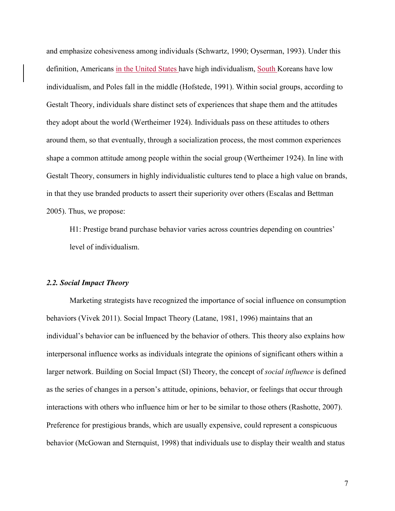and emphasize cohesiveness among individuals (Schwartz, 1990; Oyserman, 1993). Under this definition, Americans in the United States have high individualism, South Koreans have low individualism, and Poles fall in the middle (Hofstede, 1991). Within social groups, according to Gestalt Theory, individuals share distinct sets of experiences that shape them and the attitudes they adopt about the world (Wertheimer 1924). Individuals pass on these attitudes to others around them, so that eventually, through a socialization process, the most common experiences shape a common attitude among people within the social group (Wertheimer 1924). In line with Gestalt Theory, consumers in highly individualistic cultures tend to place a high value on brands, in that they use branded products to assert their superiority over others (Escalas and Bettman 2005). Thus, we propose:

H1: Prestige brand purchase behavior varies across countries depending on countries' level of individualism.

#### *2.2. Social Impact Theory*

Marketing strategists have recognized the importance of social influence on consumption behaviors (Vivek 2011). Social Impact Theory (Latane, 1981, 1996) maintains that an individual's behavior can be influenced by the behavior of others. This theory also explains how interpersonal influence works as individuals integrate the opinions of significant others within a larger network. Building on Social Impact (SI) Theory, the concept of *social influence* is defined as the series of changes in a person's attitude, opinions, behavior, or feelings that occur through interactions with others who influence him or her to be similar to those others (Rashotte, 2007). Preference for prestigious brands, which are usually expensive, could represent a conspicuous behavior (McGowan and Sternquist, 1998) that individuals use to display their wealth and status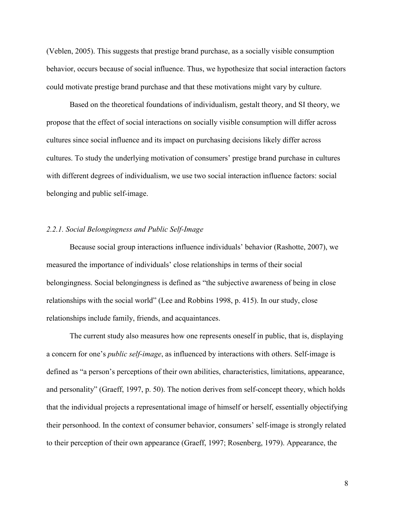(Veblen, 2005). This suggests that prestige brand purchase, as a socially visible consumption behavior, occurs because of social influence. Thus, we hypothesize that social interaction factors could motivate prestige brand purchase and that these motivations might vary by culture.

Based on the theoretical foundations of individualism, gestalt theory, and SI theory, we propose that the effect of social interactions on socially visible consumption will differ across cultures since social influence and its impact on purchasing decisions likely differ across cultures. To study the underlying motivation of consumers' prestige brand purchase in cultures with different degrees of individualism, we use two social interaction influence factors: social belonging and public self-image.

#### *2.2.1. Social Belongingness and Public Self-Image*

 Because social group interactions influence individuals' behavior (Rashotte, 2007), we measured the importance of individuals' close relationships in terms of their social belongingness. Social belongingness is defined as "the subjective awareness of being in close relationships with the social world" (Lee and Robbins 1998, p. 415). In our study, close relationships include family, friends, and acquaintances.

 The current study also measures how one represents oneself in public, that is, displaying a concern for one's *public self-image*, as influenced by interactions with others. Self-image is defined as "a person's perceptions of their own abilities, characteristics, limitations, appearance, and personality" (Graeff, 1997, p. 50). The notion derives from self-concept theory, which holds that the individual projects a representational image of himself or herself, essentially objectifying their personhood. In the context of consumer behavior, consumers' self-image is strongly related to their perception of their own appearance (Graeff, 1997; Rosenberg, 1979). Appearance, the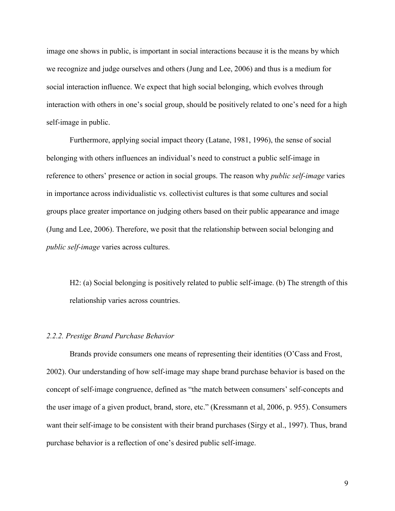image one shows in public, is important in social interactions because it is the means by which we recognize and judge ourselves and others (Jung and Lee, 2006) and thus is a medium for social interaction influence. We expect that high social belonging, which evolves through interaction with others in one's social group, should be positively related to one's need for a high self-image in public.

 Furthermore, applying social impact theory (Latane, 1981, 1996), the sense of social belonging with others influences an individual's need to construct a public self-image in reference to others' presence or action in social groups. The reason why *public self-image* varies in importance across individualistic vs. collectivist cultures is that some cultures and social groups place greater importance on judging others based on their public appearance and image (Jung and Lee, 2006). Therefore, we posit that the relationship between social belonging and *public self-image* varies across cultures.

H2: (a) Social belonging is positively related to public self-image. (b) The strength of this relationship varies across countries.

#### *2.2.2. Prestige Brand Purchase Behavior*

Brands provide consumers one means of representing their identities (O'Cass and Frost, 2002). Our understanding of how self-image may shape brand purchase behavior is based on the concept of self-image congruence, defined as "the match between consumers' self-concepts and the user image of a given product, brand, store, etc." (Kressmann et al, 2006, p. 955). Consumers want their self-image to be consistent with their brand purchases (Sirgy et al., 1997). Thus, brand purchase behavior is a reflection of one's desired public self-image.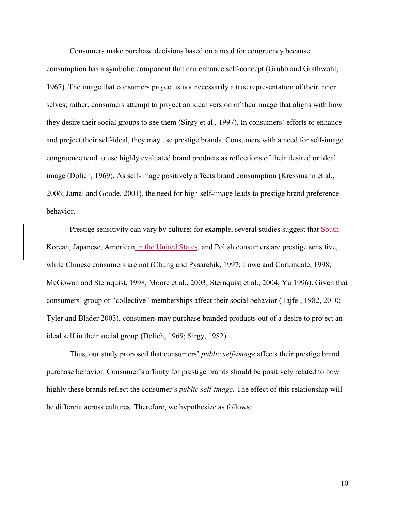Consumers make purchase decisions based on a need for congruency because consumption has a symbolic component that can enhance self-concept (Grubb and Grathwohl, 1967). The image that consumers project is not necessarily a true representation of their inner selves; rather, consumers attempt to project an ideal version of their image that aligns with how they desire their social groups to see them (Sirgy et al., 1997). In consumers' efforts to enhance and project their self-ideal, they may use prestige brands. Consumers with a need for self-image congruence tend to use highly evaluated brand products as reflections of their desired or ideal image (Dolich, 1969). As self-image positively affects brand consumption (Kressmann et al., 2006; Jamal and Goode, 2001), the need for high self-image leads to prestige brand preference behavior.

Prestige sensitivity can vary by culture; for example, several studies suggest that South Korean, Japanese, American in the United States, and Polish consumers are prestige sensitive, while Chinese consumers are not (Chung and Pysarchik, 1997; Lowe and Corkindale, 1998; McGowan and Sternquist, 1998; Moore et al., 2003; Sternquist et al., 2004; Yu 1996). Given that consumers' group or "collective" memberships affect their social behavior (Tajfel, 1982, 2010; Tyler and Blader 2003), consumers may purchase branded products out of a desire to project an ideal self in their social group (Dolich, 1969; Sirgy, 1982).

 Thus, our study proposed that consumers' *public self-image* affects their prestige brand purchase behavior. Consumer's affinity for prestige brands should be positively related to how highly these brands reflect the consumer's *public self-image*. The effect of this relationship will be different across cultures. Therefore, we hypothesize as follows: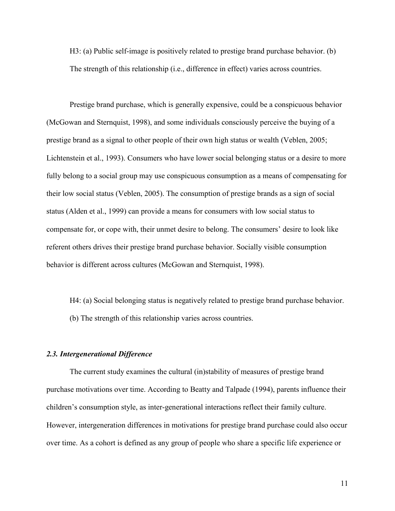H3: (a) Public self-image is positively related to prestige brand purchase behavior. (b) The strength of this relationship (i.e., difference in effect) varies across countries.

Prestige brand purchase, which is generally expensive, could be a conspicuous behavior (McGowan and Sternquist, 1998), and some individuals consciously perceive the buying of a prestige brand as a signal to other people of their own high status or wealth (Veblen, 2005; Lichtenstein et al., 1993). Consumers who have lower social belonging status or a desire to more fully belong to a social group may use conspicuous consumption as a means of compensating for their low social status (Veblen, 2005). The consumption of prestige brands as a sign of social status (Alden et al., 1999) can provide a means for consumers with low social status to compensate for, or cope with, their unmet desire to belong. The consumers' desire to look like referent others drives their prestige brand purchase behavior. Socially visible consumption behavior is different across cultures (McGowan and Sternquist, 1998).

H4: (a) Social belonging status is negatively related to prestige brand purchase behavior. (b) The strength of this relationship varies across countries.

#### *2.3. Intergenerational Difference*

The current study examines the cultural (in)stability of measures of prestige brand purchase motivations over time. According to Beatty and Talpade (1994), parents influence their children's consumption style, as inter-generational interactions reflect their family culture. However, intergeneration differences in motivations for prestige brand purchase could also occur over time. As a cohort is defined as any group of people who share a specific life experience or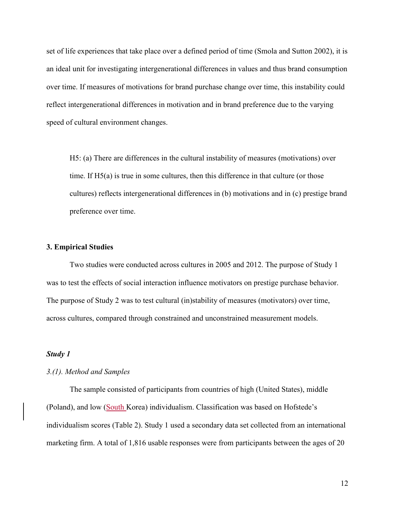set of life experiences that take place over a defined period of time (Smola and Sutton 2002), it is an ideal unit for investigating intergenerational differences in values and thus brand consumption over time. If measures of motivations for brand purchase change over time, this instability could reflect intergenerational differences in motivation and in brand preference due to the varying speed of cultural environment changes.

H5: (a) There are differences in the cultural instability of measures (motivations) over time. If H5(a) is true in some cultures, then this difference in that culture (or those cultures) reflects intergenerational differences in (b) motivations and in (c) prestige brand preference over time.

#### **3. Empirical Studies**

Two studies were conducted across cultures in 2005 and 2012. The purpose of Study 1 was to test the effects of social interaction influence motivators on prestige purchase behavior. The purpose of Study 2 was to test cultural (in)stability of measures (motivators) over time, across cultures, compared through constrained and unconstrained measurement models.

#### *Study 1*

#### *3.(1). Method and Samples*

The sample consisted of participants from countries of high (United States), middle (Poland), and low (South Korea) individualism. Classification was based on Hofstede's individualism scores (Table 2). Study 1 used a secondary data set collected from an international marketing firm. A total of 1,816 usable responses were from participants between the ages of 20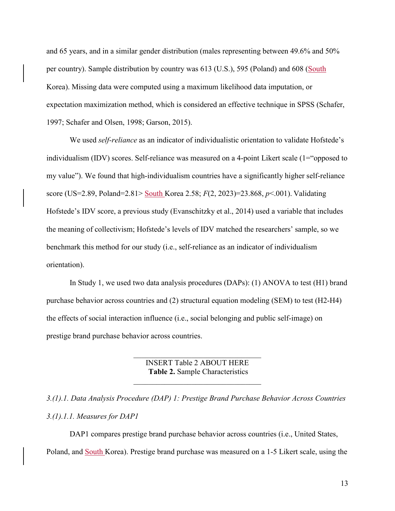and 65 years, and in a similar gender distribution (males representing between 49.6% and 50% per country). Sample distribution by country was 613 (U.S.), 595 (Poland) and 608 (South Korea). Missing data were computed using a maximum likelihood data imputation, or expectation maximization method, which is considered an effective technique in SPSS (Schafer, 1997; Schafer and Olsen, 1998; Garson, 2015).

We used *self-reliance* as an indicator of individualistic orientation to validate Hofstede's individualism (IDV) scores. Self-reliance was measured on a 4-point Likert scale (1="opposed to my value"). We found that high-individualism countries have a significantly higher self-reliance score (US=2.89, Poland=2.81> South Korea 2.58; *F*(2, 2023)=23.868, *p*<.001). Validating Hofstede's IDV score, a previous study (Evanschitzky et al., 2014) used a variable that includes the meaning of collectivism; Hofstede's levels of IDV matched the researchers' sample, so we benchmark this method for our study (i.e., self-reliance as an indicator of individualism orientation).

In Study 1, we used two data analysis procedures (DAPs): (1) ANOVA to test (H1) brand purchase behavior across countries and (2) structural equation modeling (SEM) to test (H2-H4) the effects of social interaction influence (i.e., social belonging and public self-image) on prestige brand purchase behavior across countries.

> INSERT Table 2 ABOUT HERE  **Table 2.** Sample Characteristics

 $\mathcal{L}_\text{max}$  , and the set of the set of the set of the set of the set of the set of the set of the set of the set of the set of the set of the set of the set of the set of the set of the set of the set of the set of the

*3.(1).1. Data Analysis Procedure (DAP) 1: Prestige Brand Purchase Behavior Across Countries 3.(1).1.1. Measures for DAP1* 

DAP1 compares prestige brand purchase behavior across countries (i.e., United States, Poland, and South Korea). Prestige brand purchase was measured on a 1-5 Likert scale, using the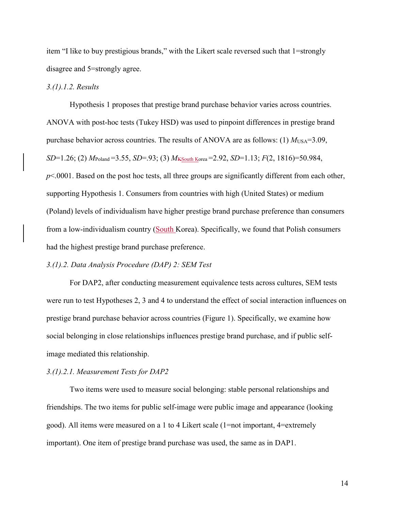item "I like to buy prestigious brands," with the Likert scale reversed such that 1=strongly disagree and 5=strongly agree.

#### *3.(1).1.2. Results*

Hypothesis 1 proposes that prestige brand purchase behavior varies across countries. ANOVA with post-hoc tests (Tukey HSD) was used to pinpoint differences in prestige brand purchase behavior across countries. The results of ANOVA are as follows:  $(1)$   $M_{USA} = 3.09$ , *SD*=1.26; (2) *M*Poland =3.55, *SD*=.93; (3) *M*KSouth Korea =2.92, *SD*=1.13; *F*(2, 1816)=50.984, *p*<.0001. Based on the post hoc tests, all three groups are significantly different from each other, supporting Hypothesis 1. Consumers from countries with high (United States) or medium (Poland) levels of individualism have higher prestige brand purchase preference than consumers from a low-individualism country (South Korea). Specifically, we found that Polish consumers had the highest prestige brand purchase preference.

#### *3.(1).2. Data Analysis Procedure (DAP) 2: SEM Test*

For DAP2, after conducting measurement equivalence tests across cultures, SEM tests were run to test Hypotheses 2, 3 and 4 to understand the effect of social interaction influences on prestige brand purchase behavior across countries (Figure 1). Specifically, we examine how social belonging in close relationships influences prestige brand purchase, and if public selfimage mediated this relationship.

#### *3.(1).2.1. Measurement Tests for DAP2*

Two items were used to measure social belonging: stable personal relationships and friendships. The two items for public self-image were public image and appearance (looking good). All items were measured on a 1 to 4 Likert scale (1=not important, 4=extremely important). One item of prestige brand purchase was used, the same as in DAP1.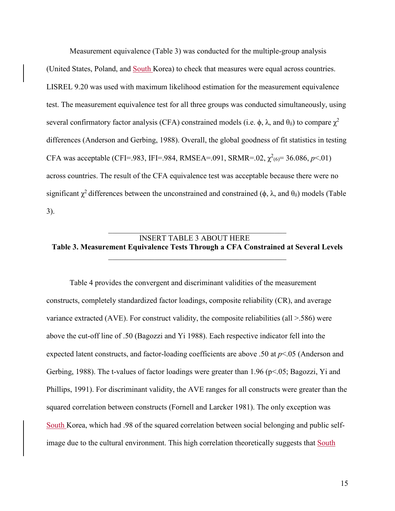Measurement equivalence (Table 3) was conducted for the multiple-group analysis (United States, Poland, and South Korea) to check that measures were equal across countries. LISREL 9.20 was used with maximum likelihood estimation for the measurement equivalence test. The measurement equivalence test for all three groups was conducted simultaneously, using several confirmatory factor analysis (CFA) constrained models (i.e.  $\phi$ ,  $\lambda$ , and  $\theta_{\delta}$ ) to compare  $\chi^2$ differences (Anderson and Gerbing, 1988). Overall, the global goodness of fit statistics in testing CFA was acceptable (CFI=.983, IFI=.984, RMSEA=.091, SRMR=.02,  $\chi^2_{(6)}$ = 36.086, *p*<.01) across countries. The result of the CFA equivalence test was acceptable because there were no significant  $\chi^2$  differences between the unconstrained and constrained ( $\phi$ ,  $\lambda$ , and  $\theta_\delta$ ) models (Table 3).

## INSERT TABLE 3 ABOUT HERE **Table 3. Measurement Equivalence Tests Through a CFA Constrained at Several Levels**  $\mathcal{L}_\mathcal{L}$  , and the set of the set of the set of the set of the set of the set of the set of the set of the set of the set of the set of the set of the set of the set of the set of the set of the set of the set of th

\_\_\_\_\_\_\_\_\_\_\_\_\_\_\_\_\_\_\_\_\_\_\_\_\_\_\_\_\_\_\_\_\_\_\_\_\_\_\_\_\_\_\_\_\_\_

Table 4 provides the convergent and discriminant validities of the measurement constructs, completely standardized factor loadings, composite reliability (CR), and average variance extracted (AVE). For construct validity, the composite reliabilities (all  $> 0.586$ ) were above the cut-off line of .50 (Bagozzi and Yi 1988). Each respective indicator fell into the expected latent constructs, and factor-loading coefficients are above .50 at *p*<.05 (Anderson and Gerbing, 1988). The t-values of factor loadings were greater than 1.96 (p<.05; Bagozzi, Yi and Phillips, 1991). For discriminant validity, the AVE ranges for all constructs were greater than the squared correlation between constructs (Fornell and Larcker 1981). The only exception was South Korea, which had .98 of the squared correlation between social belonging and public selfimage due to the cultural environment. This high correlation theoretically suggests that South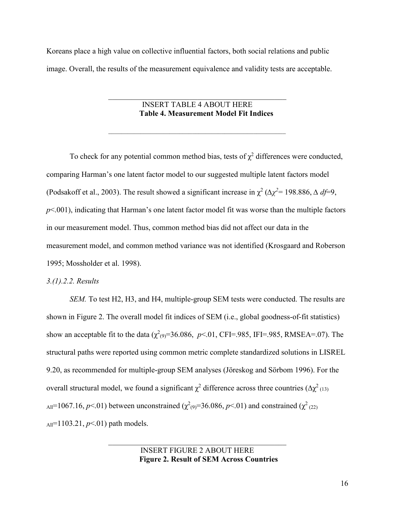Koreans place a high value on collective influential factors, both social relations and public image. Overall, the results of the measurement equivalence and validity tests are acceptable.

 $\mathcal{L}_\mathcal{L} = \{ \mathcal{L}_\mathcal{L} = \{ \mathcal{L}_\mathcal{L} = \{ \mathcal{L}_\mathcal{L} = \{ \mathcal{L}_\mathcal{L} = \{ \mathcal{L}_\mathcal{L} = \{ \mathcal{L}_\mathcal{L} = \{ \mathcal{L}_\mathcal{L} = \{ \mathcal{L}_\mathcal{L} = \{ \mathcal{L}_\mathcal{L} = \{ \mathcal{L}_\mathcal{L} = \{ \mathcal{L}_\mathcal{L} = \{ \mathcal{L}_\mathcal{L} = \{ \mathcal{L}_\mathcal{L} = \{ \mathcal{L}_\mathcal{$ 

INSERT TABLE 4 ABOUT HERE **Table 4. Measurement Model Fit Indices**

\_\_\_\_\_\_\_\_\_\_\_\_\_\_\_\_\_\_\_\_\_\_\_\_\_\_\_\_\_\_\_\_\_\_\_\_\_\_\_\_\_\_\_\_\_\_

To check for any potential common method bias, tests of  $\chi^2$  differences were conducted, comparing Harman's one latent factor model to our suggested multiple latent factors model (Podsakoff et al., 2003). The result showed a significant increase in  $\chi^2$  ( $\Delta \chi^2$  = 198.886,  $\Delta$  *df*=9, *p*<.001), indicating that Harman's one latent factor model fit was worse than the multiple factors in our measurement model. Thus, common method bias did not affect our data in the measurement model, and common method variance was not identified (Krosgaard and Roberson 1995; Mossholder et al. 1998).

#### *3.(1).2.2. Results*

*SEM.* To test H2, H3, and H4, multiple-group SEM tests were conducted. The results are shown in Figure 2. The overall model fit indices of SEM (i.e., global goodness-of-fit statistics) show an acceptable fit to the data  $(\chi^2_{(9)} = 36.086, p < 0.01, CF = 0.985, IF = 0.985, RMSEA = 0.07)$ . The structural paths were reported using common metric complete standardized solutions in LISREL 9.20, as recommended for multiple-group SEM analyses (Jöreskog and Sörbom 1996). For the overall structural model, we found a significant  $\chi^2$  difference across three countries (Δ $\chi^2$ <sub>(13)</sub>  $_{\text{All}}$ =1067.16, *p*<.01) between unconstrained (χ<sup>2</sup><sub>(9)</sub>=36.086, *p*<.01) and constrained (χ<sup>2</sup><sub>(22)</sub>  $_{\text{All}}=1103.21, p<01$  path models.

 $\mathcal{L}_\text{max}$  and  $\mathcal{L}_\text{max}$  and  $\mathcal{L}_\text{max}$  and  $\mathcal{L}_\text{max}$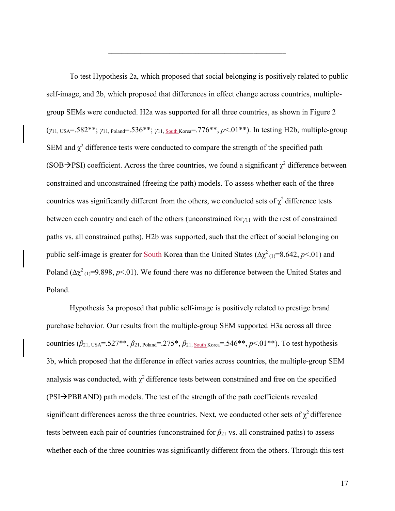To test Hypothesis 2a, which proposed that social belonging is positively related to public self-image, and 2b, which proposed that differences in effect change across countries, multiplegroup SEMs were conducted. H2a was supported for all three countries, as shown in Figure 2 (*γ*11, USA=.582\*\*; *γ*11, Poland=.536\*\*; *γ*11, South Korea=.776\*\*, *p*<.01\*\*). In testing H2b, multiple-group SEM and  $\chi^2$  difference tests were conducted to compare the strength of the specified path (SOB $\rightarrow$ PSI) coefficient. Across the three countries, we found a significant  $\chi^2$  difference between constrained and unconstrained (freeing the path) models. To assess whether each of the three countries was significantly different from the others, we conducted sets of  $\chi^2$  difference tests between each country and each of the others (unconstrained for*γ*11 with the rest of constrained paths vs. all constrained paths). H2b was supported, such that the effect of social belonging on public self-image is greater for South Korea than the United States ( $\Delta \chi^2$ <sub>(1)</sub>=8.642, *p*<.01) and Poland ( $\Delta \chi^2$ <sub>(1)</sub>=9.898, *p*<.01). We found there was no difference between the United States and Poland.

 $\mathcal{L}_\mathcal{L} = \{ \mathcal{L}_\mathcal{L} = \{ \mathcal{L}_\mathcal{L} = \{ \mathcal{L}_\mathcal{L} = \{ \mathcal{L}_\mathcal{L} = \{ \mathcal{L}_\mathcal{L} = \{ \mathcal{L}_\mathcal{L} = \{ \mathcal{L}_\mathcal{L} = \{ \mathcal{L}_\mathcal{L} = \{ \mathcal{L}_\mathcal{L} = \{ \mathcal{L}_\mathcal{L} = \{ \mathcal{L}_\mathcal{L} = \{ \mathcal{L}_\mathcal{L} = \{ \mathcal{L}_\mathcal{L} = \{ \mathcal{L}_\mathcal{$ 

Hypothesis 3a proposed that public self-image is positively related to prestige brand purchase behavior. Our results from the multiple-group SEM supported H3a across all three countries (*β*21, USA=.527\*\*, *β*21, Poland=.275\*, *β*21, South Korea=.546\*\*, *p*<.01\*\*). To test hypothesis 3b, which proposed that the difference in effect varies across countries, the multiple-group SEM analysis was conducted, with  $\chi^2$  difference tests between constrained and free on the specified  $(PSI\rightarrow PBRAND)$  path models. The test of the strength of the path coefficients revealed significant differences across the three countries. Next, we conducted other sets of  $\chi^2$  difference tests between each pair of countries (unconstrained for  $\beta_{21}$  vs. all constrained paths) to assess whether each of the three countries was significantly different from the others. Through this test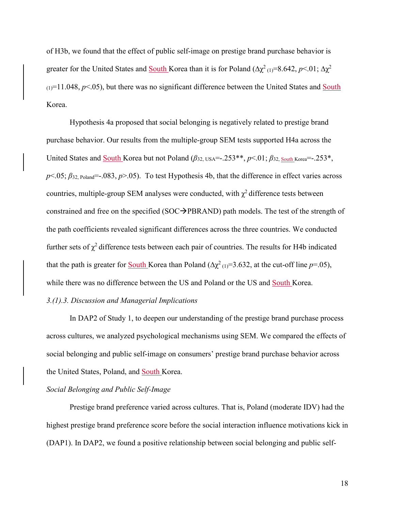of H3b, we found that the effect of public self-image on prestige brand purchase behavior is greater for the United States and South Korea than it is for Poland ( $\Delta \chi^2$ <sub>(1)</sub>=8.642, *p*<.01;  $\Delta \chi^2$  $(1)$ =11.048,  $p$ <.05), but there was no significant difference between the United States and South Korea.

Hypothesis 4a proposed that social belonging is negatively related to prestige brand purchase behavior. Our results from the multiple-group SEM tests supported H4a across the United States and South Korea but not Poland ( $β_{32, USA}$ =-.253<sup>\*\*</sup>, *p*<.01;  $β_{32, South Korea}$ =-.253<sup>\*</sup>,  $p$ <.05;  $\beta$ <sub>32, Poland</sub>=-.083,  $p$ >.05). To test Hypothesis 4b, that the difference in effect varies across countries, multiple-group SEM analyses were conducted, with  $\chi^2$  difference tests between constrained and free on the specified (SOC $\rightarrow$ PBRAND) path models. The test of the strength of the path coefficients revealed significant differences across the three countries. We conducted further sets of  $\chi^2$  difference tests between each pair of countries. The results for H4b indicated that the path is greater for <u>South Korea</u> than Poland ( $\Delta \chi^2$ <sub>(1)</sub>=3.632, at the cut-off line *p*=.05), while there was no difference between the US and Poland or the US and South Korea. *3.(1).3. Discussion and Managerial Implications* 

In DAP2 of Study 1, to deepen our understanding of the prestige brand purchase process across cultures, we analyzed psychological mechanisms using SEM. We compared the effects of social belonging and public self-image on consumers' prestige brand purchase behavior across the United States, Poland, and South Korea.

#### *Social Belonging and Public Self-Image*

Prestige brand preference varied across cultures. That is, Poland (moderate IDV) had the highest prestige brand preference score before the social interaction influence motivations kick in (DAP1). In DAP2, we found a positive relationship between social belonging and public self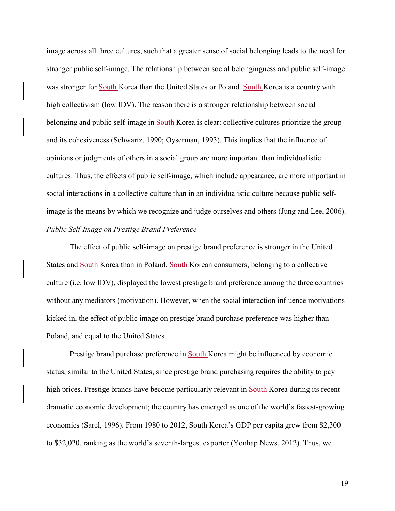image across all three cultures, such that a greater sense of social belonging leads to the need for stronger public self-image. The relationship between social belongingness and public self-image was stronger for South Korea than the United States or Poland. South Korea is a country with high collectivism (low IDV). The reason there is a stronger relationship between social belonging and public self-image in South Korea is clear: collective cultures prioritize the group and its cohesiveness (Schwartz, 1990; Oyserman, 1993). This implies that the influence of opinions or judgments of others in a social group are more important than individualistic cultures. Thus, the effects of public self-image, which include appearance, are more important in social interactions in a collective culture than in an individualistic culture because public selfimage is the means by which we recognize and judge ourselves and others (Jung and Lee, 2006). *Public Self-Image on Prestige Brand Preference* 

The effect of public self-image on prestige brand preference is stronger in the United States and South Korea than in Poland. South Korean consumers, belonging to a collective culture (i.e. low IDV), displayed the lowest prestige brand preference among the three countries without any mediators (motivation). However, when the social interaction influence motivations kicked in, the effect of public image on prestige brand purchase preference was higher than Poland, and equal to the United States.

Prestige brand purchase preference in South Korea might be influenced by economic status, similar to the United States, since prestige brand purchasing requires the ability to pay high prices. Prestige brands have become particularly relevant in South Korea during its recent dramatic economic development; the country has emerged as one of the world's fastest-growing economies (Sarel, 1996). From 1980 to 2012, South Korea's GDP per capita grew from \$2,300 to \$32,020, ranking as the world's seventh-largest exporter (Yonhap News, 2012). Thus, we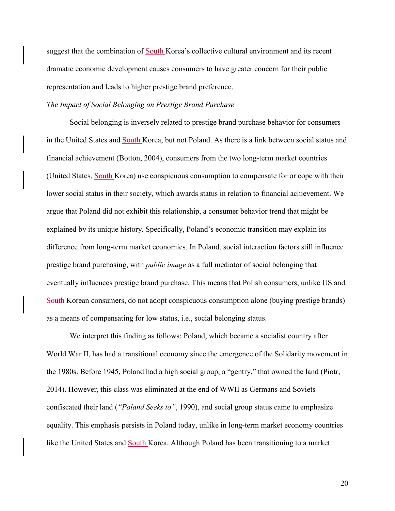suggest that the combination of South Korea's collective cultural environment and its recent dramatic economic development causes consumers to have greater concern for their public representation and leads to higher prestige brand preference.

#### *The Impact of Social Belonging on Prestige Brand Purchase*

Social belonging is inversely related to prestige brand purchase behavior for consumers in the United States and South Korea, but not Poland. As there is a link between social status and financial achievement (Botton, 2004), consumers from the two long-term market countries (United States, South Korea) use conspicuous consumption to compensate for or cope with their lower social status in their society, which awards status in relation to financial achievement. We argue that Poland did not exhibit this relationship, a consumer behavior trend that might be explained by its unique history*.* Specifically, Poland's economic transition may explain its difference from long-term market economies. In Poland, social interaction factors still influence prestige brand purchasing, with *public image* as a full mediator of social belonging that eventually influences prestige brand purchase. This means that Polish consumers, unlike US and South Korean consumers, do not adopt conspicuous consumption alone (buying prestige brands) as a means of compensating for low status, i.e., social belonging status.

We interpret this finding as follows: Poland, which became a socialist country after World War II, has had a transitional economy since the emergence of the Solidarity movement in the 1980s. Before 1945, Poland had a high social group, a "gentry," that owned the land (Piotr, 2014). However, this class was eliminated at the end of WWII as Germans and Soviets confiscated their land (*"Poland Seeks to"*, 1990), and social group status came to emphasize equality. This emphasis persists in Poland today, unlike in long-term market economy countries like the United States and South Korea. Although Poland has been transitioning to a market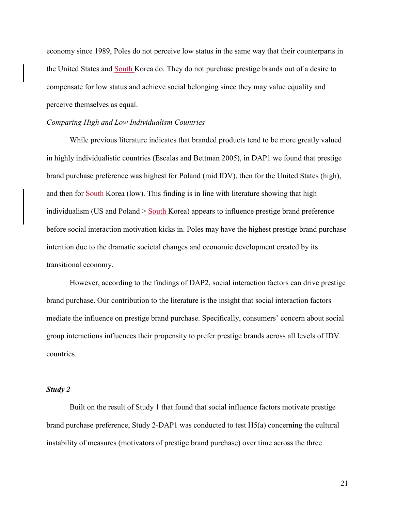economy since 1989, Poles do not perceive low status in the same way that their counterparts in the United States and South Korea do. They do not purchase prestige brands out of a desire to compensate for low status and achieve social belonging since they may value equality and perceive themselves as equal.

#### *Comparing High and Low Individualism Countries*

While previous literature indicates that branded products tend to be more greatly valued in highly individualistic countries (Escalas and Bettman 2005), in DAP1 we found that prestige brand purchase preference was highest for Poland (mid IDV), then for the United States (high), and then for South Korea (low). This finding is in line with literature showing that high individualism (US and Poland  $>$  South Korea) appears to influence prestige brand preference before social interaction motivation kicks in. Poles may have the highest prestige brand purchase intention due to the dramatic societal changes and economic development created by its transitional economy.

However, according to the findings of DAP2, social interaction factors can drive prestige brand purchase. Our contribution to the literature is the insight that social interaction factors mediate the influence on prestige brand purchase. Specifically, consumers' concern about social group interactions influences their propensity to prefer prestige brands across all levels of IDV countries.

#### *Study 2*

Built on the result of Study 1 that found that social influence factors motivate prestige brand purchase preference, Study 2-DAP1 was conducted to test H5(a) concerning the cultural instability of measures (motivators of prestige brand purchase) over time across the three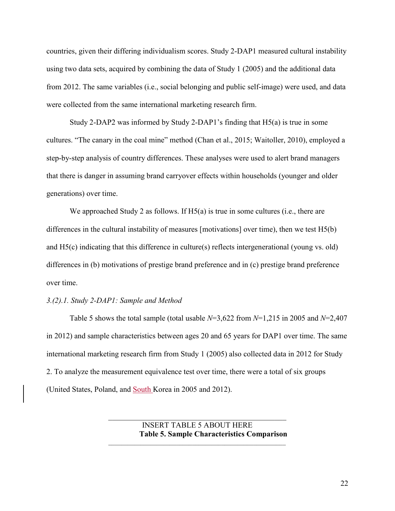countries, given their differing individualism scores. Study 2-DAP1 measured cultural instability using two data sets, acquired by combining the data of Study 1 (2005) and the additional data from 2012. The same variables (i.e., social belonging and public self-image) were used, and data were collected from the same international marketing research firm.

Study 2-DAP2 was informed by Study 2-DAP1's finding that H5(a) is true in some cultures. "The canary in the coal mine" method (Chan et al., 2015; Waitoller, 2010), employed a step-by-step analysis of country differences. These analyses were used to alert brand managers that there is danger in assuming brand carryover effects within households (younger and older generations) over time.

We approached Study 2 as follows. If H5(a) is true in some cultures (i.e., there are differences in the cultural instability of measures [motivations] over time), then we test H5(b) and H5(c) indicating that this difference in culture(s) reflects intergenerational (young vs. old) differences in (b) motivations of prestige brand preference and in (c) prestige brand preference over time.

#### *3.(2).1. Study 2-DAP1: Sample and Method*

Table 5 shows the total sample (total usable *N*=3,622 from *N*=1,215 in 2005 and *N*=2,407 in 2012) and sample characteristics between ages 20 and 65 years for DAP1 over time. The same international marketing research firm from Study 1 (2005) also collected data in 2012 for Study 2. To analyze the measurement equivalence test over time, there were a total of six groups (United States, Poland, and South Korea in 2005 and 2012).

 $\mathcal{L}_\text{max}$  and  $\mathcal{L}_\text{max}$  and  $\mathcal{L}_\text{max}$  and  $\mathcal{L}_\text{max}$ 

 $\mathcal{L}_\text{max} = \mathcal{L}_\text{max} = \mathcal{L}_\text{max} = \mathcal{L}_\text{max} = \mathcal{L}_\text{max} = \mathcal{L}_\text{max} = \mathcal{L}_\text{max} = \mathcal{L}_\text{max} = \mathcal{L}_\text{max} = \mathcal{L}_\text{max} = \mathcal{L}_\text{max} = \mathcal{L}_\text{max} = \mathcal{L}_\text{max} = \mathcal{L}_\text{max} = \mathcal{L}_\text{max} = \mathcal{L}_\text{max} = \mathcal{L}_\text{max} = \mathcal{L}_\text{max} = \mathcal{$ 

INSERT TABLE 5 ABOUT HERE **Table 5. Sample Characteristics Comparison**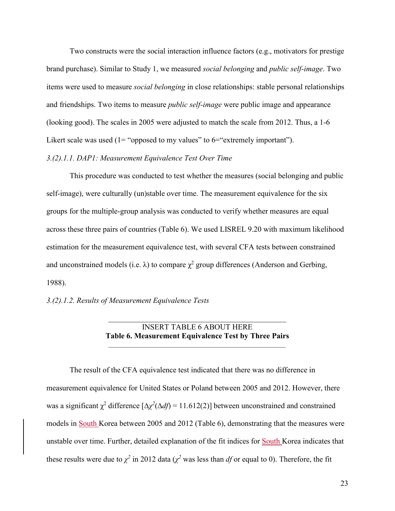Two constructs were the social interaction influence factors (e.g., motivators for prestige brand purchase). Similar to Study 1, we measured *social belonging* and *public self-image*. Two items were used to measure *social belonging* in close relationships: stable personal relationships and friendships. Two items to measure *public self-image* were public image and appearance (looking good). The scales in 2005 were adjusted to match the scale from 2012. Thus, a 1-6 Likert scale was used  $(1=$  "opposed to my values" to  $6=$  "extremely important").

#### *3.(2).1.1. DAP1: Measurement Equivalence Test Over Time*

This procedure was conducted to test whether the measures (social belonging and public self-image), were culturally (un)stable over time. The measurement equivalence for the six groups for the multiple-group analysis was conducted to verify whether measures are equal across these three pairs of countries (Table 6). We used LISREL 9.20 with maximum likelihood estimation for the measurement equivalence test, with several CFA tests between constrained and unconstrained models (i.e.  $\lambda$ ) to compare  $\chi^2$  group differences (Anderson and Gerbing, 1988).

#### *3.(2).1.2. Results of Measurement Equivalence Tests*

## INSERT TABLE 6 ABOUT HERE **Table 6. Measurement Equivalence Test by Three Pairs**

 $\mathcal{L}_\mathcal{L} = \{ \mathcal{L}_\mathcal{L} = \{ \mathcal{L}_\mathcal{L} = \{ \mathcal{L}_\mathcal{L} = \{ \mathcal{L}_\mathcal{L} = \{ \mathcal{L}_\mathcal{L} = \{ \mathcal{L}_\mathcal{L} = \{ \mathcal{L}_\mathcal{L} = \{ \mathcal{L}_\mathcal{L} = \{ \mathcal{L}_\mathcal{L} = \{ \mathcal{L}_\mathcal{L} = \{ \mathcal{L}_\mathcal{L} = \{ \mathcal{L}_\mathcal{L} = \{ \mathcal{L}_\mathcal{L} = \{ \mathcal{L}_\mathcal{$ 

\_\_\_\_\_\_\_\_\_\_\_\_\_\_\_\_\_\_\_\_\_\_\_\_\_\_\_\_\_\_\_\_\_\_\_\_\_\_\_\_\_\_\_\_\_\_

The result of the CFA equivalence test indicated that there was no difference in measurement equivalence for United States or Poland between 2005 and 2012. However, there was a significant  $\chi^2$  difference  $[\Delta \chi^2(\Delta df) = 11.612(2)]$  between unconstrained and constrained models in South Korea between 2005 and 2012 (Table 6), demonstrating that the measures were unstable over time. Further, detailed explanation of the fit indices for South Korea indicates that these results were due to  $\chi^2$  in 2012 data ( $\chi^2$  was less than *df* or equal to 0). Therefore, the fit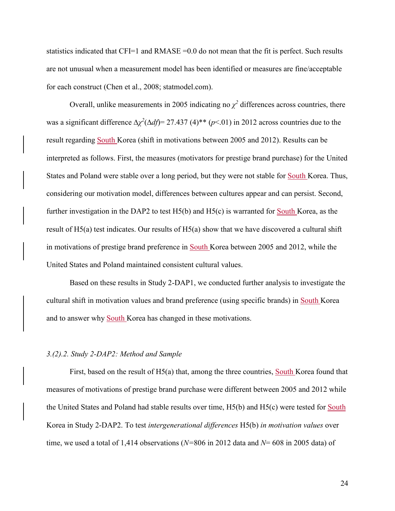statistics indicated that CFI=1 and RMASE =0.0 do not mean that the fit is perfect. Such results are not unusual when a measurement model has been identified or measures are fine/acceptable for each construct (Chen et al., 2008; statmodel.com).

Overall, unlike measurements in 2005 indicating no  $\chi^2$  differences across countries, there was a significant difference  $\Delta \chi^2(\Delta df) = 27.437 (4)$ <sup>\*\*</sup> (*p*<.01) in 2012 across countries due to the result regarding South Korea (shift in motivations between 2005 and 2012). Results can be interpreted as follows. First, the measures (motivators for prestige brand purchase) for the United States and Poland were stable over a long period, but they were not stable for South Korea. Thus, considering our motivation model, differences between cultures appear and can persist. Second, further investigation in the DAP2 to test  $H5(b)$  and  $H5(c)$  is warranted for South Korea, as the result of H5(a) test indicates. Our results of H5(a) show that we have discovered a cultural shift in motivations of prestige brand preference in South Korea between 2005 and 2012, while the United States and Poland maintained consistent cultural values.

Based on these results in Study 2-DAP1, we conducted further analysis to investigate the cultural shift in motivation values and brand preference (using specific brands) in South Korea and to answer why South Korea has changed in these motivations.

#### *3.(2).2. Study 2-DAP2: Method and Sample*

First, based on the result of H5(a) that, among the three countries, South Korea found that measures of motivations of prestige brand purchase were different between 2005 and 2012 while the United States and Poland had stable results over time, H5(b) and H5(c) were tested for South Korea in Study 2-DAP2. To test *intergenerational differences* H5(b) *in motivation values* over time, we used a total of 1,414 observations (*N=*806 in 2012 data and *N*= 608 in 2005 data) of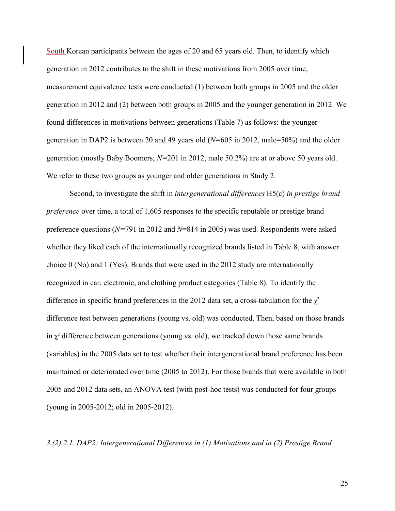South Korean participants between the ages of 20 and 65 years old. Then, to identify which generation in 2012 contributes to the shift in these motivations from 2005 over time, measurement equivalence tests were conducted (1) between both groups in 2005 and the older generation in 2012 and (2) between both groups in 2005 and the younger generation in 2012. We found differences in motivations between generations (Table 7) as follows: the younger generation in DAP2 is between 20 and 49 years old (*N=*605 in 2012, male=50%) and the older generation (mostly Baby Boomers; *N=*201 in 2012, male 50.2%) are at or above 50 years old. We refer to these two groups as younger and older generations in Study 2.

Second, to investigate the shift in *intergenerational differences* H5(c) *in prestige brand preference* over time, a total of 1,605 responses to the specific reputable or prestige brand preference questions (*N=*791 in 2012 and *N*=814 in 2005) was used. Respondents were asked whether they liked each of the internationally recognized brands listed in Table 8, with answer choice 0 (No) and 1 (Yes). Brands that were used in the 2012 study are internationally recognized in car, electronic, and clothing product categories (Table 8). To identify the difference in specific brand preferences in the 2012 data set, a cross-tabulation for the  $\chi^2$ difference test between generations (young vs. old) was conducted. Then, based on those brands in  $\chi^2$  difference between generations (young vs. old), we tracked down those same brands (variables) in the 2005 data set to test whether their intergenerational brand preference has been maintained or deteriorated over time (2005 to 2012). For those brands that were available in both 2005 and 2012 data sets, an ANOVA test (with post-hoc tests) was conducted for four groups (young in 2005-2012; old in 2005-2012).

#### *3.(2).2.1. DAP2: Intergenerational Differences in (1) Motivations and in (2) Prestige Brand*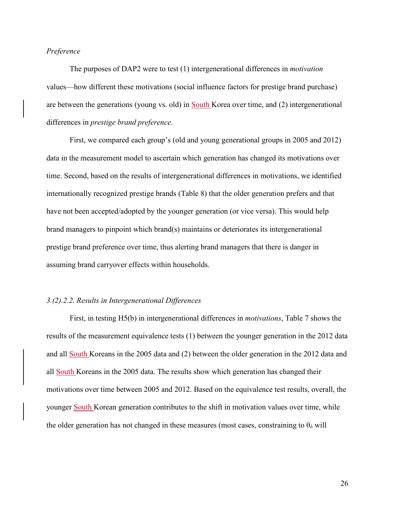#### *Preference*

The purposes of DAP2 were to test (1) intergenerational differences in *motivation*  values—how different these motivations (social influence factors for prestige brand purchase) are between the generations (young vs. old) in South Korea over time, and (2) intergenerational differences in *prestige brand preference*.

First, we compared each group's (old and young generational groups in 2005 and 2012) data in the measurement model to ascertain which generation has changed its motivations over time. Second, based on the results of intergenerational differences in motivations, we identified internationally recognized prestige brands (Table 8) that the older generation prefers and that have not been accepted/adopted by the younger generation (or vice versa). This would help brand managers to pinpoint which brand(s) maintains or deteriorates its intergenerational prestige brand preference over time, thus alerting brand managers that there is danger in assuming brand carryover effects within households.

#### *3.(2).2.2. Results in Intergenerational Differences*

First, in testing H5(b) in intergenerational differences in *motivations*, Table 7 shows the results of the measurement equivalence tests (1) between the younger generation in the 2012 data and all South Koreans in the 2005 data and (2) between the older generation in the 2012 data and all South Koreans in the 2005 data. The results show which generation has changed their motivations over time between 2005 and 2012. Based on the equivalence test results, overall, the younger South Korean generation contributes to the shift in motivation values over time, while the older generation has not changed in these measures (most cases, constraining to  $\theta_{\delta}$  will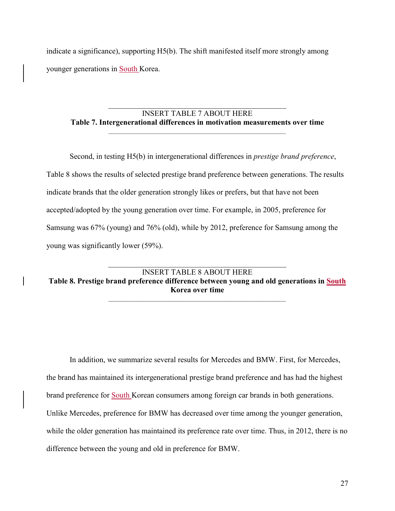indicate a significance), supporting H5(b). The shift manifested itself more strongly among younger generations in South Korea.

## INSERT TABLE 7 ABOUT HERE **Table 7. Intergenerational differences in motivation measurements over time**

 $\mathcal{L}_\mathcal{L} = \{ \mathcal{L}_\mathcal{L} = \{ \mathcal{L}_\mathcal{L} = \{ \mathcal{L}_\mathcal{L} = \{ \mathcal{L}_\mathcal{L} = \{ \mathcal{L}_\mathcal{L} = \{ \mathcal{L}_\mathcal{L} = \{ \mathcal{L}_\mathcal{L} = \{ \mathcal{L}_\mathcal{L} = \{ \mathcal{L}_\mathcal{L} = \{ \mathcal{L}_\mathcal{L} = \{ \mathcal{L}_\mathcal{L} = \{ \mathcal{L}_\mathcal{L} = \{ \mathcal{L}_\mathcal{L} = \{ \mathcal{L}_\mathcal{$ 

 $\mathcal{L}_\text{max}$  and  $\mathcal{L}_\text{max}$  and  $\mathcal{L}_\text{max}$  and  $\mathcal{L}_\text{max}$ 

Second, in testing H5(b) in intergenerational differences in *prestige brand preference*, Table 8 shows the results of selected prestige brand preference between generations. The results indicate brands that the older generation strongly likes or prefers, but that have not been accepted/adopted by the young generation over time. For example, in 2005, preference for Samsung was 67% (young) and 76% (old), while by 2012, preference for Samsung among the young was significantly lower (59%).

INSERT TABLE 8 ABOUT HERE **Table 8. Prestige brand preference difference between young and old generations in South Korea over time** 

\_\_\_\_\_\_\_\_\_\_\_\_\_\_\_\_\_\_\_\_\_\_\_\_\_\_\_\_\_\_\_\_\_\_\_\_\_\_\_\_\_\_\_\_\_\_\_\_\_\_\_\_\_\_\_

\_\_\_\_\_\_\_\_\_\_\_\_\_\_\_\_\_\_\_\_\_\_\_\_\_\_\_\_\_\_\_\_\_\_\_\_\_\_\_\_\_\_\_\_\_\_

In addition, we summarize several results for Mercedes and BMW. First, for Mercedes, the brand has maintained its intergenerational prestige brand preference and has had the highest brand preference for South Korean consumers among foreign car brands in both generations. Unlike Mercedes, preference for BMW has decreased over time among the younger generation, while the older generation has maintained its preference rate over time. Thus, in 2012, there is no difference between the young and old in preference for BMW.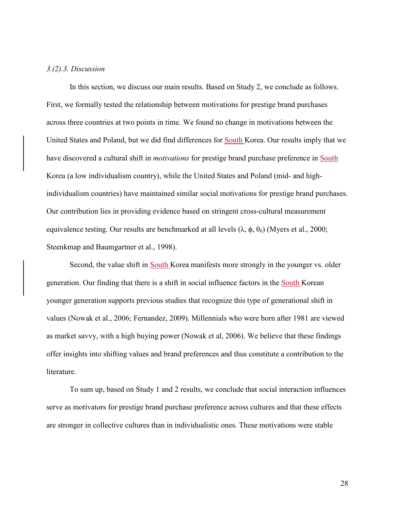#### *3.(2).3. Discussion*

In this section, we discuss our main results. Based on Study 2, we conclude as follows. First, we formally tested the relationship between motivations for prestige brand purchases across three countries at two points in time. We found no change in motivations between the United States and Poland, but we did find differences for South Korea. Our results imply that we have discovered a cultural shift in *motivations* for prestige brand purchase preference in South Korea (a low individualism country), while the United States and Poland (mid- and highindividualism countries) have maintained similar social motivations for prestige brand purchases. Our contribution lies in providing evidence based on stringent cross-cultural measurement equivalence testing. Our results are benchmarked at all levels  $(\lambda, \phi, \theta_{\delta})$  (Myers et al., 2000; Steenkmap and Baumgartner et al., 1998).

Second, the value shift in South Korea manifests more strongly in the younger vs. older generation. Our finding that there is a shift in social influence factors in the South Korean younger generation supports previous studies that recognize this type of generational shift in values (Nowak et al., 2006; Fernandez, 2009). Millennials who were born after 1981 are viewed as market savvy, with a high buying power (Nowak et al, 2006). We believe that these findings offer insights into shifting values and brand preferences and thus constitute a contribution to the literature.

To sum up, based on Study 1 and 2 results, we conclude that social interaction influences serve as motivators for prestige brand purchase preference across cultures and that these effects are stronger in collective cultures than in individualistic ones. These motivations were stable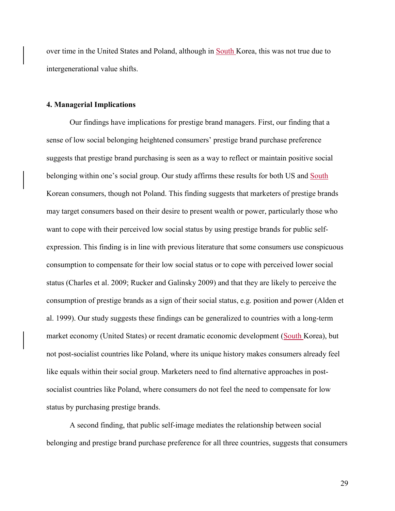over time in the United States and Poland, although in South Korea, this was not true due to intergenerational value shifts.

#### **4. Managerial Implications**

Our findings have implications for prestige brand managers. First, our finding that a sense of low social belonging heightened consumers' prestige brand purchase preference suggests that prestige brand purchasing is seen as a way to reflect or maintain positive social belonging within one's social group. Our study affirms these results for both US and South Korean consumers, though not Poland. This finding suggests that marketers of prestige brands may target consumers based on their desire to present wealth or power, particularly those who want to cope with their perceived low social status by using prestige brands for public selfexpression. This finding is in line with previous literature that some consumers use conspicuous consumption to compensate for their low social status or to cope with perceived lower social status (Charles et al. 2009; Rucker and Galinsky 2009) and that they are likely to perceive the consumption of prestige brands as a sign of their social status, e.g. position and power (Alden et al. 1999). Our study suggests these findings can be generalized to countries with a long-term market economy (United States) or recent dramatic economic development (South Korea), but not post-socialist countries like Poland, where its unique history makes consumers already feel like equals within their social group. Marketers need to find alternative approaches in postsocialist countries like Poland, where consumers do not feel the need to compensate for low status by purchasing prestige brands.

A second finding, that public self-image mediates the relationship between social belonging and prestige brand purchase preference for all three countries, suggests that consumers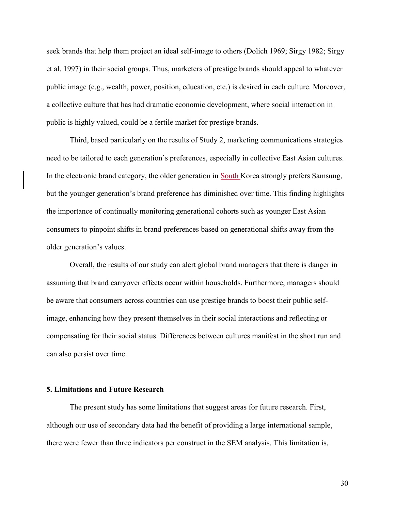seek brands that help them project an ideal self-image to others (Dolich 1969; Sirgy 1982; Sirgy et al. 1997) in their social groups. Thus, marketers of prestige brands should appeal to whatever public image (e.g., wealth, power, position, education, etc.) is desired in each culture. Moreover, a collective culture that has had dramatic economic development, where social interaction in public is highly valued, could be a fertile market for prestige brands.

Third, based particularly on the results of Study 2, marketing communications strategies need to be tailored to each generation's preferences, especially in collective East Asian cultures. In the electronic brand category, the older generation in South Korea strongly prefers Samsung, but the younger generation's brand preference has diminished over time. This finding highlights the importance of continually monitoring generational cohorts such as younger East Asian consumers to pinpoint shifts in brand preferences based on generational shifts away from the older generation's values.

Overall, the results of our study can alert global brand managers that there is danger in assuming that brand carryover effects occur within households. Furthermore, managers should be aware that consumers across countries can use prestige brands to boost their public selfimage, enhancing how they present themselves in their social interactions and reflecting or compensating for their social status. Differences between cultures manifest in the short run and can also persist over time.

#### **5. Limitations and Future Research**

The present study has some limitations that suggest areas for future research. First, although our use of secondary data had the benefit of providing a large international sample, there were fewer than three indicators per construct in the SEM analysis. This limitation is,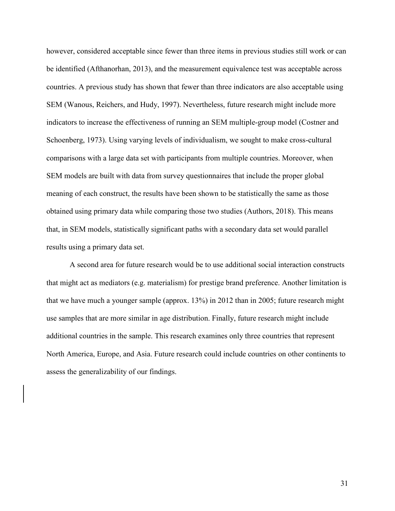however, considered acceptable since fewer than three items in previous studies still work or can be identified (Afthanorhan, 2013), and the measurement equivalence test was acceptable across countries. A previous study has shown that fewer than three indicators are also acceptable using SEM (Wanous, Reichers, and Hudy, 1997). Nevertheless, future research might include more indicators to increase the effectiveness of running an SEM multiple-group model (Costner and Schoenberg, 1973). Using varying levels of individualism, we sought to make cross-cultural comparisons with a large data set with participants from multiple countries. Moreover, when SEM models are built with data from survey questionnaires that include the proper global meaning of each construct, the results have been shown to be statistically the same as those obtained using primary data while comparing those two studies (Authors, 2018). This means that, in SEM models, statistically significant paths with a secondary data set would parallel results using a primary data set.

A second area for future research would be to use additional social interaction constructs that might act as mediators (e.g. materialism) for prestige brand preference. Another limitation is that we have much a younger sample (approx. 13%) in 2012 than in 2005; future research might use samples that are more similar in age distribution. Finally, future research might include additional countries in the sample. This research examines only three countries that represent North America, Europe, and Asia. Future research could include countries on other continents to assess the generalizability of our findings.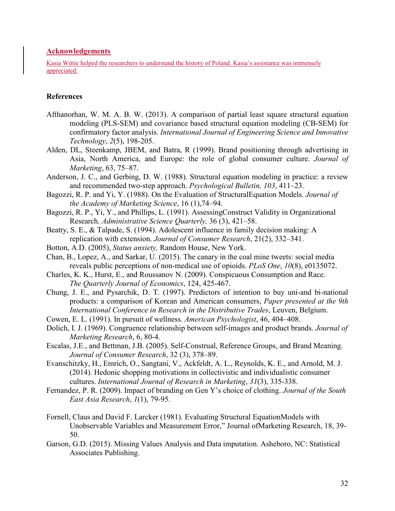#### **Acknowledgements**

Kasia Wittie helped the researchers to understand the history of Poland. Kasia's assistance was immensely appreciated.

#### **References**

- Afthanorhan, W. M. A. B. W. (2013). A comparison of partial least square structural equation modeling (PLS-SEM) and covariance based structural equation modeling (CB-SEM) for confirmatory factor analysis. *International Journal of Engineering Science and Innovative Technology*, *2*(5), 198-205.
- Alden, DL, Steenkamp, JBEM, and Batra, R (1999). Brand positioning through advertising in Asia, North America, and Europe: the role of global consumer culture. *Journal of Marketing*, 63, 75–87.
- Anderson, J. C., and Gerbing, D. W. (1988). Structural equation modeling in practice: a review and recommended two-step approach. *Psychological Bulletin, 103*, 411–23.
- Bagozzi, R. P. and Yi, Y. (1988). On the Evaluation of StructuralEquation Models. *Journal of the Academy of Marketing Science*, 16 (1),74–94.
- Bagozzi, R. P., Yi, Y., and Phillips, L. (1991). AssessingConstruct Validity in Organizational Research. *Administrative Science Quarterly,* 36 (3), 421–58.
- Beatty, S. E., & Talpade, S. (1994). Adolescent influence in family decision making: A replication with extension. *Journal of Consumer Research*, 21(2), 332–341.
- Botton, A.D. (2005), *Status anxiety,* Random House, New York.
- Chan, B., Lopez, A., and Sarkar, U. (2015). The canary in the coal mine tweets: social media reveals public perceptions of non-medical use of opioids. *PLoS One*, *10*(8), e0135072.
- Charles, K. K., Hurst, E., and Roussanov N. (2009). Conspicuous Consumption and Race. *The Quarterly Journal of Economics*, 124, 425-467.
- Chung, J. E., and Pysarchik, D. T. (1997). Predictors of intention to buy uni-and bi-national products: a comparison of Korean and American consumers, *Paper presented at the 9th International Conference in Research in the Distributive Trades*, Leuven, Belgium.
- Cowen, E. L. (1991). In pursuit of wellness. *American Psychologist*, 46, 404–408.
- Dolich, I. J. (1969). Congruence relationship between self-images and product brands. *Journal of Marketing Research*, 6, 80-4.
- Escalas, J.E., and Bettman, J.B. (2005). Self-Construal, Reference Groups, and Brand Meaning. *Journal of Consumer Research*, 32 (3), 378–89.
- Evanschitzky, H., Emrich, O., Sangtani, V., Ackfeldt, A. L., Reynolds, K. E., and Arnold, M. J. (2014). Hedonic shopping motivations in collectivistic and individualistic consumer cultures. *International Journal of Research in Marketing*, *31*(3), 335-338.
- Fernandez, P. R. (2009). Impact of branding on Gen Y's choice of clothing. *Journal of the South East Asia Research*, *1*(1), 79-95.
- Fornell, Claus and David F. Larcker (1981). Evaluating Structural EquationModels with Unobservable Variables and Measurement Error," Journal ofMarketing Research, 18, 39- 50.
- Garson, G.D. (2015). Missing Values Analysis and Data imputation. Asheboro, NC: Statistical Associates Publishing.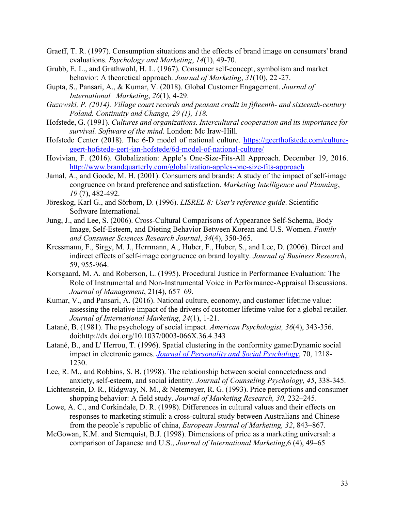- Graeff, T. R. (1997). Consumption situations and the effects of brand image on consumers' brand evaluations. *Psychology and Marketing*, *14*(1), 49-70.
- Grubb, E. L., and Grathwohl, H. L. (1967). Consumer self-concept, symbolism and market behavior: A theoretical approach. *Journal of Marketing*, *31*(10), 22 -27.
- Gupta, S., Pansari, A., & Kumar, V. (2018). Global Customer Engagement. *Journal of International Marketing*, *26*(1), 4-29.
- *Guzowski, P. (2014). Village court records and peasant credit in fifteenth- and sixteenth-century Poland. Continuity and Change, 29 (1), 118.*
- Hofstede, G. (1991). *Cultures and organizations. Intercultural cooperation and its importance for survival. Software of the mind*. London: Mc Iraw-Hill.
- Hofstede Center (2018). The 6-D model of national culture. [https://geerthofstede.com/culture](https://geerthofstede.com/culture-geert-hofstede-gert-jan-hofstede/6d-model-of-national-culture/)[geert-hofstede-gert-jan-hofstede/6d-model-of-national-culture/](https://geerthofstede.com/culture-geert-hofstede-gert-jan-hofstede/6d-model-of-national-culture/)
- Hovivian, F. (2016). Globalization: Apple's One-Size-Fits-All Approach. December 19, 2016. <http://www.brandquarterly.com/globalization-apples-one-size-fits-approach>
- Jamal, A., and Goode, M. H. (2001). Consumers and brands: A study of the impact of self-image congruence on brand preference and satisfaction. *Marketing Intelligence and Planning*, *19* (7), 482-492.
- Jöreskog, Karl G., and Sörbom, D. (1996). *LISREL 8: User's reference guide*. Scientific Software International.
- Jung, J., and Lee, S. (2006). Cross-Cultural Comparisons of Appearance Self-Schema, Body Image, Self-Esteem, and Dieting Behavior Between Korean and U.S. Women. *Family and Consumer Sciences Research Journal*, *34*(4), 350-365.
- Kressmann, F., Sirgy, M. J., Herrmann, A., Huber, F., Huber, S., and Lee, D. (2006). Direct and indirect effects of self-image congruence on brand loyalty. *Journal of Business Research*, 59, 955-964.
- Korsgaard, M. A. and Roberson, L. (1995). Procedural Justice in Performance Evaluation: The Role of Instrumental and Non-Instrumental Voice in Performance-Appraisal Discussions. *Journal of Management*, 21(4), 657–69.
- Kumar, V., and Pansari, A. (2016). National culture, economy, and customer lifetime value: assessing the relative impact of the drivers of customer lifetime value for a global retailer. *Journal of International Marketing*, *24*(1), 1-21.
- Latané, B. (1981). The psychology of social impact. *American Psychologist, 36*(4), 343-356. doi:http://dx.doi.org/10.1037/0003-066X.36.4.343
- Latané, B., and L' Herrou, T. (1996). Spatial clustering in the conformity game:Dynamic social impact in electronic games. *[Journal of Personality and Social Psychology](http://en.wikipedia.org/wiki/Journal_of_Personality_and_Social_Psychology)*, 70, 1218- 1230.
- Lee, R. M., and Robbins, S. B. (1998). The relationship between social connectedness and anxiety, self-esteem, and social identity. *Journal of Counseling Psychology, 45*, 338-345.
- Lichtenstein, D. R., Ridgway, N. M., & Netemeyer, R. G. (1993). Price perceptions and consumer shopping behavior: A field study. *Journal of Marketing Research, 30*, 232–245.
- Lowe, A. C., and Corkindale, D. R. (1998). Differences in cultural values and their effects on responses to marketing stimuli: a cross-cultural study between Australians and Chinese from the people's republic of china, *European Journal of Marketing, 32*, 843–867.
- McGowan, K.M. and Sternquist, B.J. (1998). Dimensions of price as a marketing universal: a comparison of Japanese and U.S., *Journal of International Marketing*,6 (4), 49–65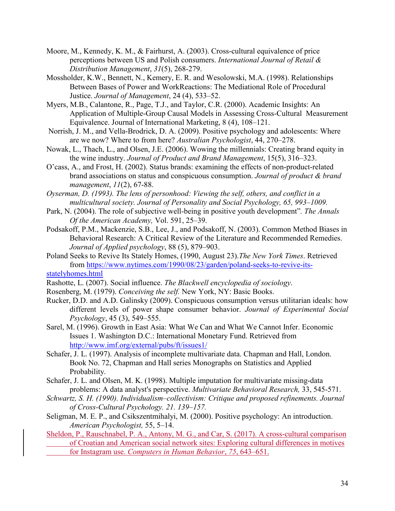- Moore, M., Kennedy, K. M., & Fairhurst, A. (2003). Cross-cultural equivalence of price perceptions between US and Polish consumers. *International Journal of Retail & Distribution Management*, *31*(5), 268-279.
- Mossholder, K.W., Bennett, N., Kemery, E. R. and Wesolowski, M.A. (1998). Relationships Between Bases of Power and WorkReactions: The Mediational Role of Procedural Justice. *Journal of Management*, 24 (4), 533–52.
- Myers, M.B., Calantone, R., Page, T.J., and Taylor, C.R. (2000). Academic Insights: An Application of Multiple-Group Causal Models in Assessing Cross-Cultural Measurement Equivalence. Journal of International Marketing, 8 (4), 108–121.
- Norrish, J. M., and Vella-Brodrick, D. A. (2009). Positive psychology and adolescents: Where are we now? Where to from here? *Australian Psychologist*, 44, 270–278.
- Nowak, L., Thach, L., and Olsen, J.E. (2006). Wowing the millennials: Creating brand equity in the wine industry. *Journal of Product and Brand Management*, 15(5), 316–323.
- O'cass, A., and Frost, H. (2002). Status brands: examining the effects of non-product-related brand associations on status and conspicuous consumption. *Journal of product & brand management*, *11*(2), 67-88.
- *Oyserman, D. (1993). The lens of personhood: Viewing the self, others, and conflict in a multicultural society. Journal of Personality and Social Psychology, 65, 993–1009.*
- Park, N. (2004). The role of subjective well-being in positive youth development"*. The Annals Of the American Academy,* Vol. 591, 25–39.
- Podsakoff, P.M., Mackenzie, S.B., Lee, J., and Podsakoff, N. (2003). Common Method Biases in Behavioral Research: A Critical Review of the Literature and Recommended Remedies. *Journal of Applied psychology*, 88 (5), 879–903.
- Poland Seeks to Revive Its Stately Homes, (1990, August 23).*The New York Times*. Retrieved from [https://www.nytimes.com/1990/08/23/garden/poland-seeks-to-revive-its](https://www.nytimes.com/1990/08/23/garden/poland-seeks-to-revive-its-stately-homes.html)[statelyhomes.html](https://www.nytimes.com/1990/08/23/garden/poland-seeks-to-revive-its-stately-homes.html)
- Rashotte, L. (2007). Social influence. *The Blackwell encyclopedia of sociology*.
- Rosenberg, M. (1979). *Conceiving the self.* New York, NY: Basic Books.
- Rucker, D.D. and A.D. Galinsky (2009). Conspicuous consumption versus utilitarian ideals: how different levels of power shape consumer behavior. *Journal of Experimental Social Psychology*, 45 (3), 549–555.
- Sarel, M. (1996). Growth in East Asia: What We Can and What We Cannot Infer. Economic Issues 1. Washington D.C.: International Monetary Fund. Retrieved from <http://www.imf.org/external/pubs/ft/issues1/>
- Schafer, J. L. (1997). Analysis of incomplete multivariate data. Chapman and Hall, London. Book No. 72, Chapman and Hall series Monographs on Statistics and Applied Probability.
- Schafer, J. L. and Olsen, M. K. (1998). Multiple imputation for multivariate missing-data problems: A data analyst's perspective. *Multivariate Behavioral Research,* 33, 545-571.
- *Schwartz, S. H. (1990). Individualism–collectivism: Critique and proposed refinements. Journal of Cross-Cultural Psychology. 21. 139–157.*
- Seligman, M. E. P., and Csikszentmihalyi, M. (2000). Positive psychology: An introduction. *American Psychologist,* 55, 5–14.
- Sheldon, P., Rauschnabel, P. A., Antony, M. G., and Car, S. (2017). A cross-cultural comparison of Croatian and American social network sites: Exploring cultural differences in motives for Instagram use. *Computers in Human Behavior*, *75*, 643–651.